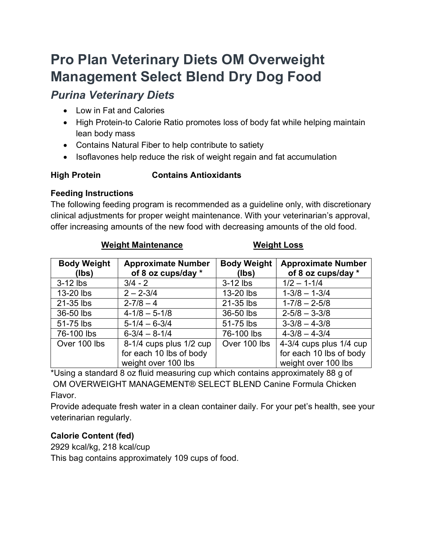# Pro Plan Veterinary Diets OM Overweight Management Select Blend Dry Dog Food

# Purina Veterinary Diets

- Low in Fat and Calories
- High Protein-to Calorie Ratio promotes loss of body fat while helping maintain lean body mass
- Contains Natural Fiber to help contribute to satiety
- Isoflavones help reduce the risk of weight regain and fat accumulation

# High Protein Contains Antioxidants

## Feeding Instructions

The following feeding program is recommended as a guideline only, with discretionary clinical adjustments for proper weight maintenance. With your veterinarian's approval, offer increasing amounts of the new food with decreasing amounts of the old food.

| <b>Body Weight</b><br>(lbs) | <b>Approximate Number</b><br>of 8 oz cups/day * | <b>Body Weight</b><br>(lbs) | <b>Approximate Number</b><br>of 8 oz cups/day * |
|-----------------------------|-------------------------------------------------|-----------------------------|-------------------------------------------------|
| $3-12$ lbs                  | $3/4 - 2$                                       | $3-12$ lbs                  | $1/2 - 1 - 1/4$                                 |
| 13-20 lbs                   | $2 - 2 - 3/4$                                   | 13-20 lbs                   | $1-3/8 - 1-3/4$                                 |
| 21-35 lbs                   | $2 - 7/8 - 4$                                   | 21-35 lbs                   | $1 - 7/8 - 2 - 5/8$                             |
| 36-50 lbs                   | $4 - 1/8 - 5 - 1/8$                             | 36-50 lbs                   | $2 - 5/8 - 3 - 3/8$                             |
| 51-75 lbs                   | $5 - 1/4 - 6 - 3/4$                             | 51-75 lbs                   | $3 - 3/8 - 4 - 3/8$                             |
| 76-100 lbs                  | $6 - 3/4 - 8 - 1/4$                             | 76-100 lbs                  | $4 - 3/8 - 4 - 3/4$                             |
| Over 100 lbs                | 8-1/4 cups plus 1/2 cup                         | Over 100 lbs                | 4-3/4 cups plus 1/4 cup                         |
|                             | for each 10 lbs of body                         |                             | for each 10 lbs of body                         |
|                             | weight over 100 lbs                             |                             | weight over 100 lbs                             |

### Weight Maintenance Weight Loss

\*Using a standard 8 oz fluid measuring cup which contains approximately 88 g of OM OVERWEIGHT MANAGEMENT® SELECT BLEND Canine Formula Chicken Flavor.

Provide adequate fresh water in a clean container daily. For your pet's health, see your veterinarian regularly.

# Calorie Content (fed)

2929 kcal/kg, 218 kcal/cup This bag contains approximately 109 cups of food.